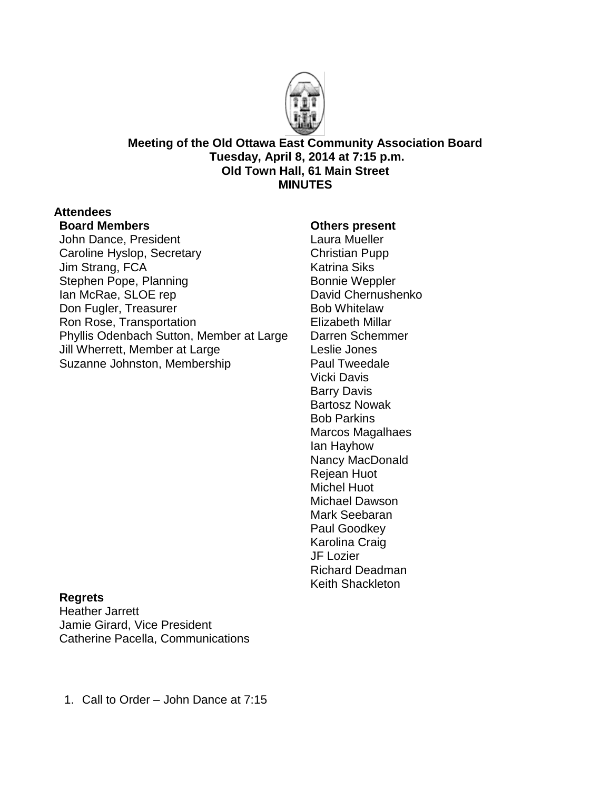

**Meeting of the Old Ottawa East Community Association Board Tuesday, April 8, 2014 at 7:15 p.m. Old Town Hall, 61 Main Street MINUTES**

# **Attendees**

## **Board Members**

John Dance, President Caroline Hyslop, Secretary Jim Strang, FCA Stephen Pope, Planning Ian McRae, SLOE rep Don Fugler, Treasurer Ron Rose, Transportation Phyllis Odenbach Sutton, Member at Large Jill Wherrett, Member at Large Suzanne Johnston, Membership

### **Others present**

Laura Mueller Christian Pupp Katrina Siks Bonnie Weppler David Chernushenko Bob Whitelaw Elizabeth Millar Darren Schemmer Leslie Jones Paul Tweedale Vicki Davis Barry Davis Bartosz Nowak Bob Parkins Marcos Magalhaes Ian Hayhow Nancy MacDonald Rejean Huot Michel Huot Michael Dawson Mark Seebaran Paul Goodkey Karolina Craig JF Lozier Richard Deadman Keith Shackleton

#### **Regrets**

Heather Jarrett Jamie Girard, Vice President Catherine Pacella, Communications

1. Call to Order – John Dance at 7:15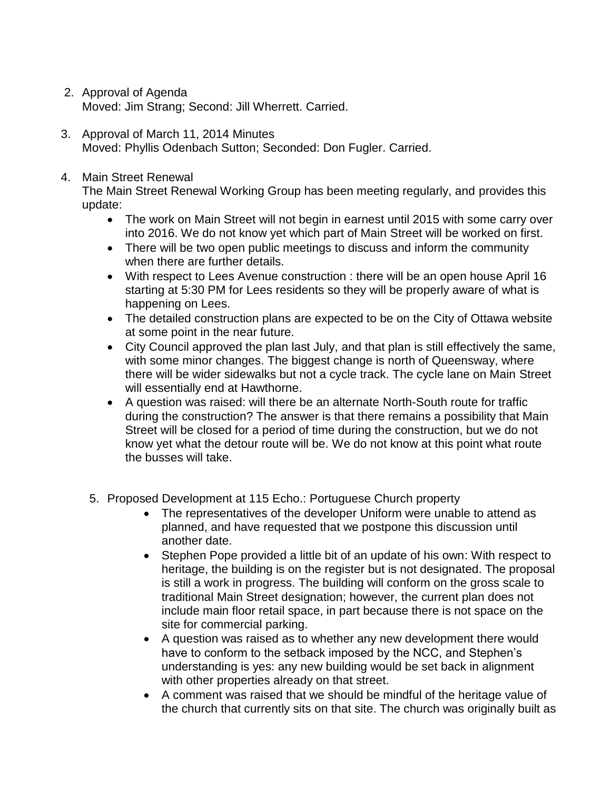- 2. Approval of Agenda Moved: Jim Strang; Second: Jill Wherrett. Carried.
- 3. Approval of March 11, 2014 Minutes Moved: Phyllis Odenbach Sutton; Seconded: Don Fugler. Carried.

#### 4. Main Street Renewal

The Main Street Renewal Working Group has been meeting regularly, and provides this update:

- The work on Main Street will not begin in earnest until 2015 with some carry over into 2016. We do not know yet which part of Main Street will be worked on first.
- There will be two open public meetings to discuss and inform the community when there are further details.
- With respect to Lees Avenue construction : there will be an open house April 16 starting at 5:30 PM for Lees residents so they will be properly aware of what is happening on Lees.
- The detailed construction plans are expected to be on the City of Ottawa website at some point in the near future.
- City Council approved the plan last July, and that plan is still effectively the same, with some minor changes. The biggest change is north of Queensway, where there will be wider sidewalks but not a cycle track. The cycle lane on Main Street will essentially end at Hawthorne.
- A question was raised: will there be an alternate North-South route for traffic during the construction? The answer is that there remains a possibility that Main Street will be closed for a period of time during the construction, but we do not know yet what the detour route will be. We do not know at this point what route the busses will take.
- 5. Proposed Development at 115 Echo.: Portuguese Church property
	- The representatives of the developer Uniform were unable to attend as planned, and have requested that we postpone this discussion until another date.
	- Stephen Pope provided a little bit of an update of his own: With respect to heritage, the building is on the register but is not designated. The proposal is still a work in progress. The building will conform on the gross scale to traditional Main Street designation; however, the current plan does not include main floor retail space, in part because there is not space on the site for commercial parking.
	- A question was raised as to whether any new development there would have to conform to the setback imposed by the NCC, and Stephen's understanding is yes: any new building would be set back in alignment with other properties already on that street.
	- A comment was raised that we should be mindful of the heritage value of the church that currently sits on that site. The church was originally built as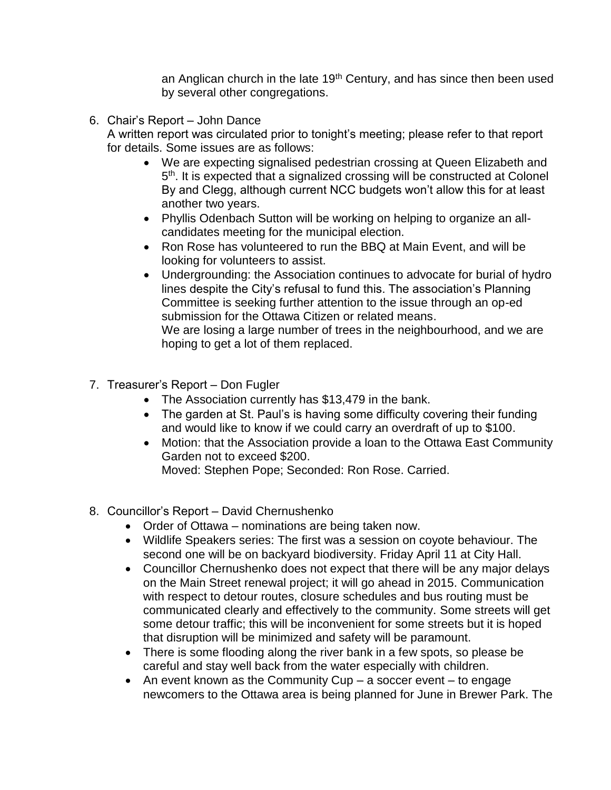an Anglican church in the late  $19<sup>th</sup>$  Century, and has since then been used by several other congregations.

6. Chair's Report – John Dance

A written report was circulated prior to tonight's meeting; please refer to that report for details. Some issues are as follows:

- We are expecting signalised pedestrian crossing at Queen Elizabeth and 5<sup>th</sup>. It is expected that a signalized crossing will be constructed at Colonel By and Clegg, although current NCC budgets won't allow this for at least another two years.
- Phyllis Odenbach Sutton will be working on helping to organize an allcandidates meeting for the municipal election.
- Ron Rose has volunteered to run the BBQ at Main Event, and will be looking for volunteers to assist.
- Undergrounding: the Association continues to advocate for burial of hydro lines despite the City's refusal to fund this. The association's Planning Committee is seeking further attention to the issue through an op-ed submission for the Ottawa Citizen or related means. We are losing a large number of trees in the neighbourhood, and we are hoping to get a lot of them replaced.
- 7. Treasurer's Report Don Fugler
	- The Association currently has \$13,479 in the bank.
	- The garden at St. Paul's is having some difficulty covering their funding and would like to know if we could carry an overdraft of up to \$100.
	- Motion: that the Association provide a loan to the Ottawa East Community Garden not to exceed \$200.
		- Moved: Stephen Pope; Seconded: Ron Rose. Carried.
- 8. Councillor's Report David Chernushenko
	- Order of Ottawa nominations are being taken now.
	- Wildlife Speakers series: The first was a session on coyote behaviour. The second one will be on backyard biodiversity. Friday April 11 at City Hall.
	- Councillor Chernushenko does not expect that there will be any major delays on the Main Street renewal project; it will go ahead in 2015. Communication with respect to detour routes, closure schedules and bus routing must be communicated clearly and effectively to the community. Some streets will get some detour traffic; this will be inconvenient for some streets but it is hoped that disruption will be minimized and safety will be paramount.
	- There is some flooding along the river bank in a few spots, so please be careful and stay well back from the water especially with children.
	- An event known as the Community Cup  $-$  a soccer event  $-$  to engage newcomers to the Ottawa area is being planned for June in Brewer Park. The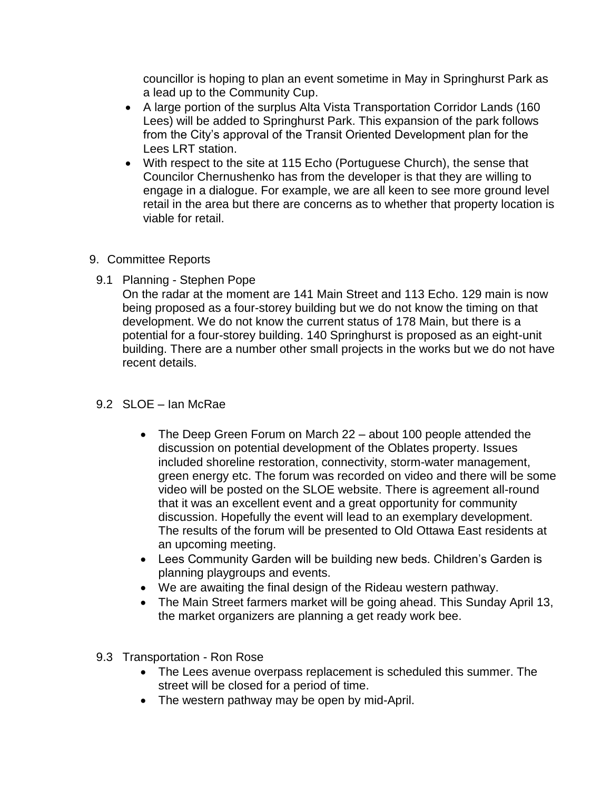councillor is hoping to plan an event sometime in May in Springhurst Park as a lead up to the Community Cup.

- A large portion of the surplus Alta Vista Transportation Corridor Lands (160 Lees) will be added to Springhurst Park. This expansion of the park follows from the City's approval of the Transit Oriented Development plan for the Lees LRT station.
- With respect to the site at 115 Echo (Portuguese Church), the sense that Councilor Chernushenko has from the developer is that they are willing to engage in a dialogue. For example, we are all keen to see more ground level retail in the area but there are concerns as to whether that property location is viable for retail.
- 9. Committee Reports
	- 9.1 Planning Stephen Pope
		- On the radar at the moment are 141 Main Street and 113 Echo. 129 main is now being proposed as a four-storey building but we do not know the timing on that development. We do not know the current status of 178 Main, but there is a potential for a four-storey building. 140 Springhurst is proposed as an eight-unit building. There are a number other small projects in the works but we do not have recent details.
	- 9.2 SLOE Ian McRae
		- The Deep Green Forum on March 22 about 100 people attended the discussion on potential development of the Oblates property. Issues included shoreline restoration, connectivity, storm-water management, green energy etc. The forum was recorded on video and there will be some video will be posted on the SLOE website. There is agreement all-round that it was an excellent event and a great opportunity for community discussion. Hopefully the event will lead to an exemplary development. The results of the forum will be presented to Old Ottawa East residents at an upcoming meeting.
		- Lees Community Garden will be building new beds. Children's Garden is planning playgroups and events.
		- We are awaiting the final design of the Rideau western pathway.
		- The Main Street farmers market will be going ahead. This Sunday April 13, the market organizers are planning a get ready work bee.
	- 9.3 Transportation Ron Rose
		- The Lees avenue overpass replacement is scheduled this summer. The street will be closed for a period of time.
		- The western pathway may be open by mid-April.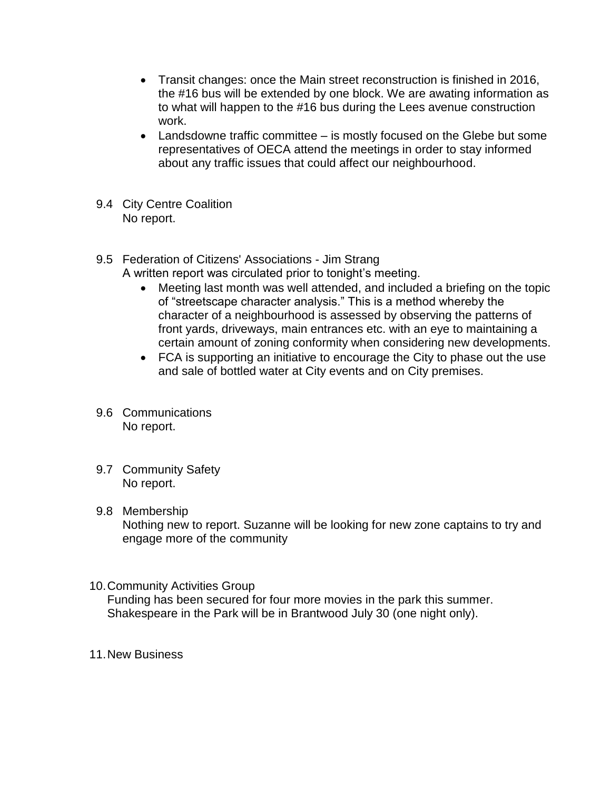- Transit changes: once the Main street reconstruction is finished in 2016, the #16 bus will be extended by one block. We are awating information as to what will happen to the #16 bus during the Lees avenue construction work.
- Landsdowne traffic committee is mostly focused on the Glebe but some representatives of OECA attend the meetings in order to stay informed about any traffic issues that could affect our neighbourhood.
- 9.4 City Centre Coalition No report.
- 9.5 Federation of Citizens' Associations Jim Strang
	- A written report was circulated prior to tonight's meeting.
		- Meeting last month was well attended, and included a briefing on the topic of "streetscape character analysis." This is a method whereby the character of a neighbourhood is assessed by observing the patterns of front yards, driveways, main entrances etc. with an eye to maintaining a certain amount of zoning conformity when considering new developments.
		- FCA is supporting an initiative to encourage the City to phase out the use and sale of bottled water at City events and on City premises.
- 9.6 Communications No report.
- 9.7 Community Safety No report.
- 9.8 Membership Nothing new to report. Suzanne will be looking for new zone captains to try and engage more of the community
- 10.Community Activities Group Funding has been secured for four more movies in the park this summer. Shakespeare in the Park will be in Brantwood July 30 (one night only).
- 11.New Business